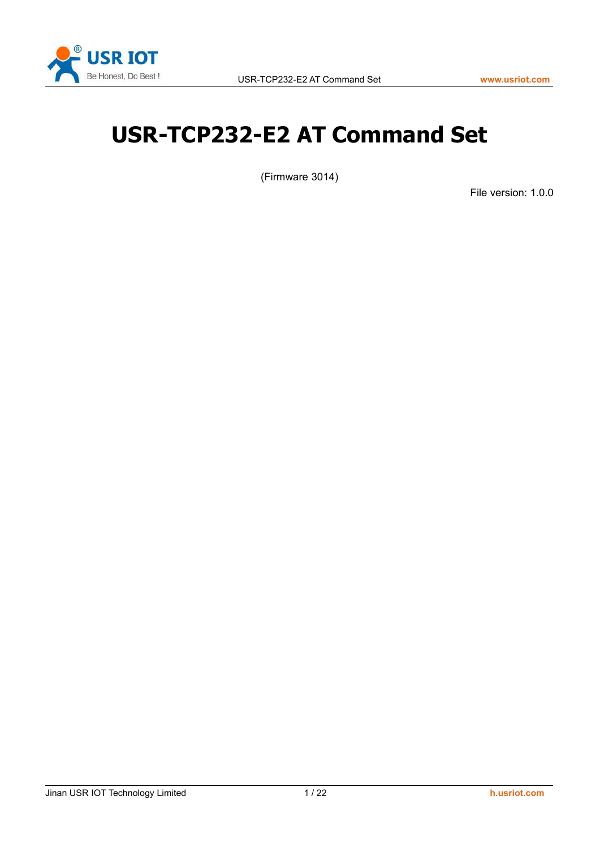

# <span id="page-0-0"></span>**USR-TCP232-E2 AT Command Set**

(Firmware 3014)

File version: 1.0.0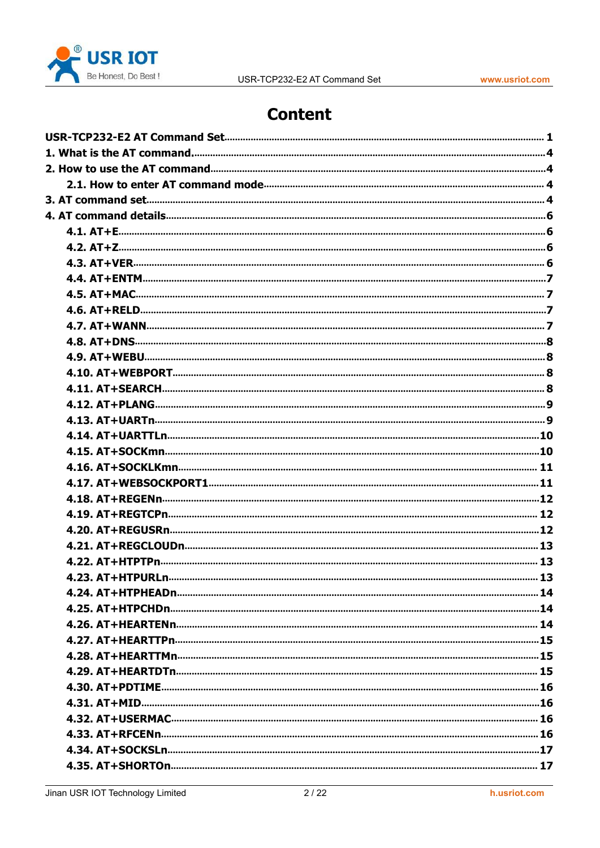

# **Content**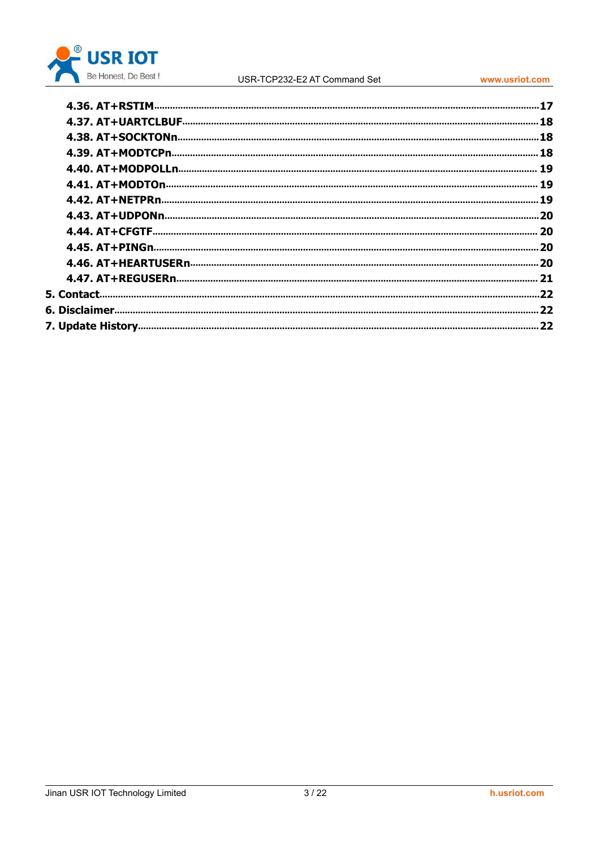

#### USR-TCP232-E2 AT Command Set

www.usriot.com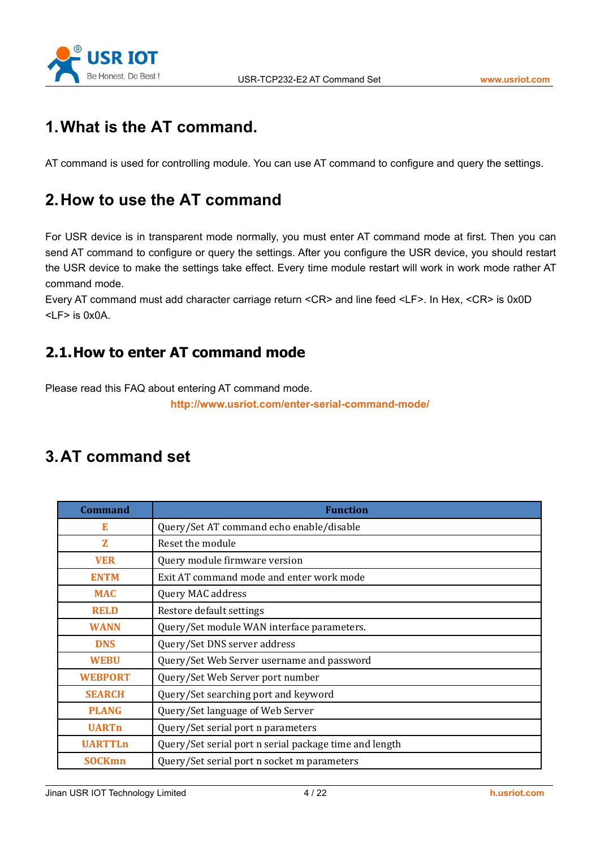

# <span id="page-3-1"></span><span id="page-3-0"></span>**1.What is the AT command.**

AT command is used for controlling module. You can use AT command to configure and query the settings.

# **2.How to use the AT command**

For USR device is in transparent mode normally, you must enter AT command mode at first. Then you can send AT command to configure or query the settings. After you configure the USR device, you should restart the USR device to make the settings take effect. Every time module restart will work in work mode rather AT command mode.

Every AT command must add character carriage return <CR> and line feed <LF>. In Hex, <CR> is 0x0D  $<$ I F $>$  is 0x0A.

# **2.1.How to enter AT command mode**

Please read this FAQ about entering AT command mode.

**<http://www.usriot.com/enter-serial-command-mode/>**

# **3.AT command set**

| <b>Command</b> | <b>Function</b>                                        |
|----------------|--------------------------------------------------------|
| E              | Query/Set AT command echo enable/disable               |
| $\mathbf{z}$   | Reset the module                                       |
| <b>VER</b>     | Query module firmware version                          |
| <b>ENTM</b>    | Exit AT command mode and enter work mode               |
| <b>MAC</b>     | Query MAC address                                      |
| <b>RELD</b>    | Restore default settings                               |
| <b>WANN</b>    | Query/Set module WAN interface parameters.             |
| <b>DNS</b>     | Query/Set DNS server address                           |
| <b>WEBU</b>    | Query/Set Web Server username and password             |
| <b>WEBPORT</b> | Query/Set Web Server port number                       |
| <b>SEARCH</b>  | Query/Set searching port and keyword                   |
| <b>PLANG</b>   | Query/Set language of Web Server                       |
| <b>UARTn</b>   | Query/Set serial port n parameters                     |
| <b>UARTTLn</b> | Query/Set serial port n serial package time and length |
| <b>SOCKmn</b>  | Query/Set serial port n socket m parameters            |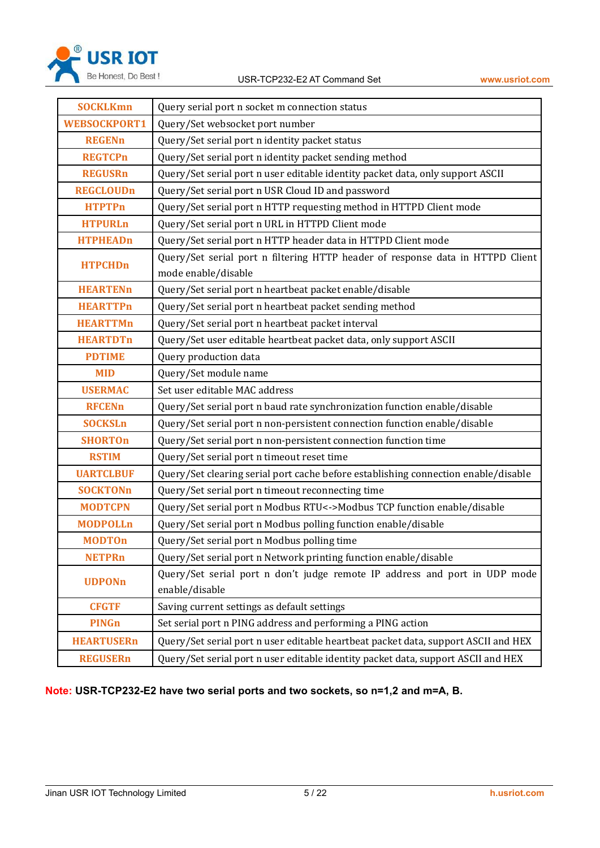

| <b>SOCKLKmn</b><br>Query serial port n socket m connection status<br><b>WEBSOCKPORT1</b><br>Query/Set websocket port number<br>Query/Set serial port n identity packet status<br><b>REGENn</b><br><b>REGTCPn</b><br>Query/Set serial port n identity packet sending method |
|----------------------------------------------------------------------------------------------------------------------------------------------------------------------------------------------------------------------------------------------------------------------------|
|                                                                                                                                                                                                                                                                            |
|                                                                                                                                                                                                                                                                            |
|                                                                                                                                                                                                                                                                            |
|                                                                                                                                                                                                                                                                            |
| Query/Set serial port n user editable identity packet data, only support ASCII<br><b>REGUSRn</b>                                                                                                                                                                           |
| Query/Set serial port n USR Cloud ID and password<br><b>REGCLOUDn</b>                                                                                                                                                                                                      |
| Query/Set serial port n HTTP requesting method in HTTPD Client mode<br><b>HTPTPn</b>                                                                                                                                                                                       |
| Query/Set serial port n URL in HTTPD Client mode<br><b>HTPURLn</b>                                                                                                                                                                                                         |
| Query/Set serial port n HTTP header data in HTTPD Client mode<br><b>HTPHEADn</b>                                                                                                                                                                                           |
| Query/Set serial port n filtering HTTP header of response data in HTTPD Client<br><b>HTPCHDn</b>                                                                                                                                                                           |
| mode enable/disable                                                                                                                                                                                                                                                        |
| Query/Set serial port n heartbeat packet enable/disable<br><b>HEARTENn</b>                                                                                                                                                                                                 |
| Query/Set serial port n heartbeat packet sending method<br><b>HEARTTPn</b>                                                                                                                                                                                                 |
| Query/Set serial port n heartbeat packet interval<br><b>HEARTTMn</b>                                                                                                                                                                                                       |
| Query/Set user editable heartbeat packet data, only support ASCII<br><b>HEARTDTn</b>                                                                                                                                                                                       |
| Query production data<br><b>PDTIME</b>                                                                                                                                                                                                                                     |
| Query/Set module name<br><b>MID</b>                                                                                                                                                                                                                                        |
| Set user editable MAC address<br><b>USERMAC</b>                                                                                                                                                                                                                            |
| <b>RFCENn</b><br>Query/Set serial port n baud rate synchronization function enable/disable                                                                                                                                                                                 |
| Query/Set serial port n non-persistent connection function enable/disable<br><b>SOCKSLn</b>                                                                                                                                                                                |
| Query/Set serial port n non-persistent connection function time<br><b>SHORTOn</b>                                                                                                                                                                                          |
| Query/Set serial port n timeout reset time<br><b>RSTIM</b>                                                                                                                                                                                                                 |
| Query/Set clearing serial port cache before establishing connection enable/disable<br><b>UARTCLBUF</b>                                                                                                                                                                     |
| <b>SOCKTONn</b><br>Query/Set serial port n timeout reconnecting time                                                                                                                                                                                                       |
| Query/Set serial port n Modbus RTU<->Modbus TCP function enable/disable<br><b>MODTCPN</b>                                                                                                                                                                                  |
| Query/Set serial port n Modbus polling function enable/disable<br><b>MODPOLLn</b>                                                                                                                                                                                          |
| Query/Set serial port n Modbus polling time<br><b>MODTOn</b>                                                                                                                                                                                                               |
| <b>NETPRn</b><br>Query/Set serial port n Network printing function enable/disable                                                                                                                                                                                          |
| Query/Set serial port n don't judge remote IP address and port in UDP mode<br><b>UDPONn</b><br>enable/disable                                                                                                                                                              |
| Saving current settings as default settings<br><b>CFGTF</b>                                                                                                                                                                                                                |
| Set serial port n PING address and performing a PING action<br><b>PINGn</b>                                                                                                                                                                                                |
| <b>HEARTUSERn</b><br>Query/Set serial port n user editable heartbeat packet data, support ASCII and HEX                                                                                                                                                                    |
| Query/Set serial port n user editable identity packet data, support ASCII and HEX<br><b>REGUSERn</b>                                                                                                                                                                       |

**Note: USR-TCP232-E2 have two serial ports and two sockets,so n=1,2 and m=A, B.**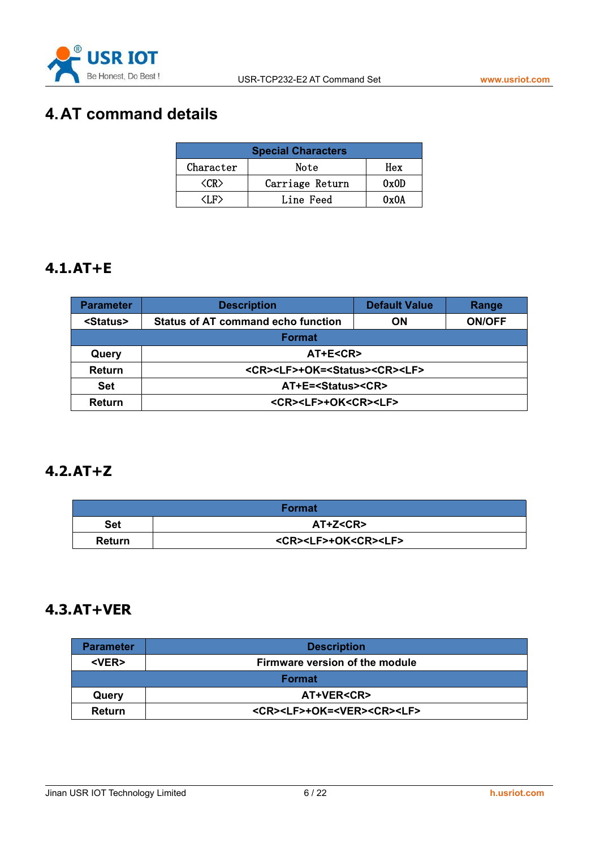

# <span id="page-5-1"></span><span id="page-5-0"></span>**4.AT command details**

| <b>Special Characters</b> |                 |      |  |
|---------------------------|-----------------|------|--|
| Character                 | Note            |      |  |
| 'CR)                      | Carriage Return | 0x0D |  |
| T F)                      | Line Feed       | 0x0A |  |

#### **4.1.AT+E**

| <b>Parameter</b>  | <b>Description</b>                                        | <b>Default Value</b> | Range         |
|-------------------|-----------------------------------------------------------|----------------------|---------------|
| <status></status> | <b>Status of AT command echo function</b>                 | ON                   | <b>ON/OFF</b> |
| <b>Format</b>     |                                                           |                      |               |
| Query             | AT+E <cr></cr>                                            |                      |               |
| <b>Return</b>     | <cr><lf>+OK=<status><cr><lf></lf></cr></status></lf></cr> |                      |               |
| <b>Set</b>        | AT+E= <status><cr></cr></status>                          |                      |               |
| <b>Return</b>     | <cr><lf>+OK<cr><lf></lf></cr></lf></cr>                   |                      |               |

#### **4.2.AT+Z**

|               | <b>Format</b>                           |
|---------------|-----------------------------------------|
| <b>Set</b>    | AT+Z <cr></cr>                          |
| <b>Return</b> | <cr><lf>+OK<cr><lf></lf></cr></lf></cr> |

# **4.3.AT+VER**

| <b>Parameter</b> | <b>Description</b>                                  |
|------------------|-----------------------------------------------------|
| <ver></ver>      | Firmware version of the module                      |
|                  | <b>Format</b>                                       |
| Query            | <b>AT+VER<cr></cr></b>                              |
| <b>Return</b>    | <cr><lf>+OK=<ver><cr><lf></lf></cr></ver></lf></cr> |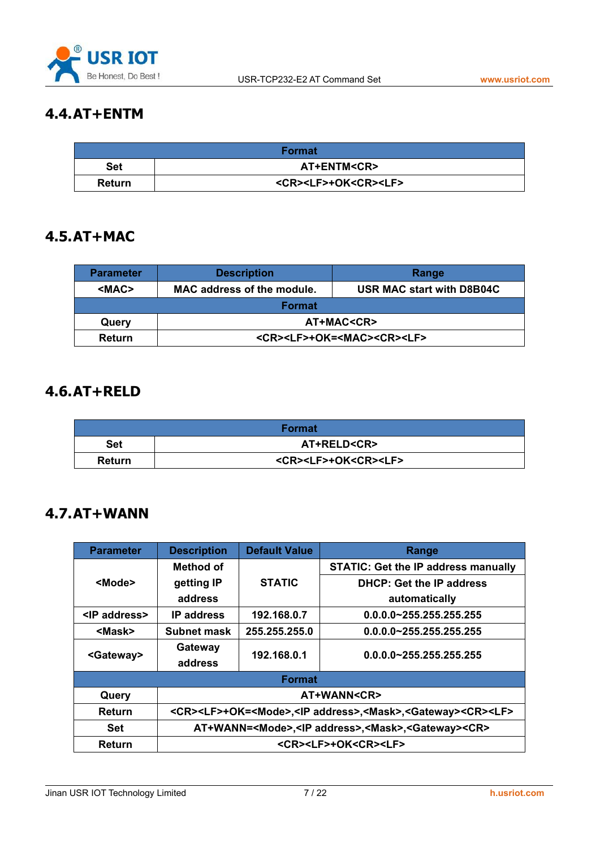

# <span id="page-6-0"></span>**4.4.AT+ENTM**

|               | Format                                  |
|---------------|-----------------------------------------|
| <b>Set</b>    | <b>AT+ENTM<cr></cr></b>                 |
| <b>Return</b> | <cr><lf>+OK<cr><lf></lf></cr></lf></cr> |

#### **4.5.AT+MAC**

| <b>Parameter</b> | <b>Description</b>                                                    | Range |
|------------------|-----------------------------------------------------------------------|-------|
| <mac></mac>      | <b>MAC address of the module.</b><br><b>USR MAC start with D8B04C</b> |       |
| <b>Format</b>    |                                                                       |       |
| Query            | AT+MAC <cr></cr>                                                      |       |
| Return           | <cr><lf>+OK=<mac><cr><lf></lf></cr></mac></lf></cr>                   |       |

#### **4.6.AT+RELD**

|               | <b>Format</b>                           |
|---------------|-----------------------------------------|
| <b>Set</b>    | <b>AT+RELD<cr></cr></b>                 |
| <b>Return</b> | <cr><lf>+OK<cr><lf></lf></cr></lf></cr> |

#### **4.7.AT+WANN**

| <b>Parameter</b>     | <b>Description</b>                                                                                           | <b>Default Value</b> | Range                                      |  |
|----------------------|--------------------------------------------------------------------------------------------------------------|----------------------|--------------------------------------------|--|
|                      | Method of                                                                                                    |                      | <b>STATIC: Get the IP address manually</b> |  |
| <mode></mode>        | getting IP                                                                                                   | <b>STATIC</b>        | <b>DHCP: Get the IP address</b>            |  |
|                      | address                                                                                                      |                      | automatically                              |  |
| <ip address=""></ip> | <b>IP</b> address                                                                                            | 192.168.0.7          | $0.0.0.0 - 255.255.255.255$                |  |
| <mask></mask>        | <b>Subnet mask</b>                                                                                           | 255.255.255.0        | $0.0.0.0 - 255.255.255.255$                |  |
| <gateway></gateway>  | Gateway                                                                                                      | 192.168.0.1          | $0.0.0.0 - 255.255.255.255$                |  |
|                      | address                                                                                                      |                      |                                            |  |
|                      |                                                                                                              | <b>Format</b>        |                                            |  |
| Query                |                                                                                                              | AT+WANN <cr></cr>    |                                            |  |
| <b>Return</b>        | <cr><lf>+OK=<mode>,<ip address="">,<mask>,<gateway><cr><lf></lf></cr></gateway></mask></ip></mode></lf></cr> |                      |                                            |  |
| Set                  | AT+WANN= <mode>,<lp address="">,<mask>,<gateway><cr></cr></gateway></mask></lp></mode>                       |                      |                                            |  |
| Return               | <cr><lf>+OK<cr><lf></lf></cr></lf></cr>                                                                      |                      |                                            |  |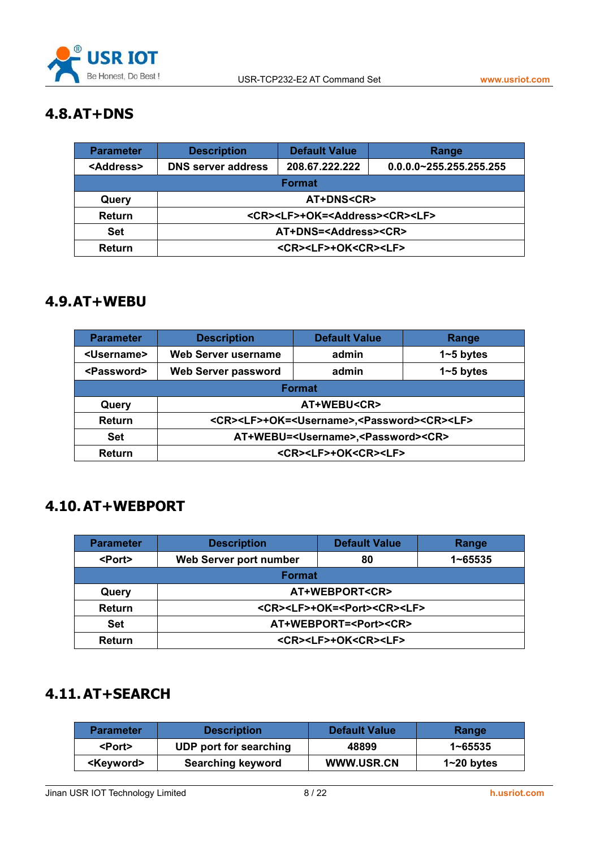

# <span id="page-7-1"></span><span id="page-7-0"></span>**4.8.AT+DNS**

| <b>Parameter</b>    | <b>Description</b>                                          | <b>Default Value</b> | Range                       |  |
|---------------------|-------------------------------------------------------------|----------------------|-----------------------------|--|
| <address></address> | <b>DNS server address</b>                                   | 208.67.222.222       | $0.0.0.0 - 255.255.255.255$ |  |
|                     | <b>Format</b>                                               |                      |                             |  |
| Query               | <b>AT+DNS<cr></cr></b>                                      |                      |                             |  |
| <b>Return</b>       | <cr><lf>+OK=<address><cr><lf></lf></cr></address></lf></cr> |                      |                             |  |
| Set                 | AT+DNS= <address><cr></cr></address>                        |                      |                             |  |
| Return              | <cr><lf>+OK<cr><lf></lf></cr></lf></cr>                     |                      |                             |  |

#### **4.9.AT+WEBU**

| <b>Parameter</b>      | <b>Description</b>                                                                  | <b>Default Value</b>                    | Range         |
|-----------------------|-------------------------------------------------------------------------------------|-----------------------------------------|---------------|
| <username></username> | Web Server username                                                                 | admin                                   | $1 - 5$ bytes |
| <password></password> | Web Server password                                                                 | admin                                   | $1 - 5$ bytes |
|                       |                                                                                     | <b>Format</b>                           |               |
| Query                 | AT+WEBU <cr></cr>                                                                   |                                         |               |
| <b>Return</b>         | <cr><lf>+OK=<username>,<password><cr><lf></lf></cr></password></username></lf></cr> |                                         |               |
| <b>Set</b>            | AT+WEBU= <username>,<password><cr></cr></password></username>                       |                                         |               |
| Return                |                                                                                     | <cr><lf>+OK<cr><lf></lf></cr></lf></cr> |               |

#### **4.10.AT+WEBPORT**

| <b>Parameter</b> | <b>Description</b>                                    | <b>Default Value</b> | Range       |
|------------------|-------------------------------------------------------|----------------------|-------------|
| <port></port>    | Web Server port number                                | 80                   | $1 - 65535$ |
|                  | <b>Format</b>                                         |                      |             |
| Query            | AT+WEBPORT <cr></cr>                                  |                      |             |
| <b>Return</b>    | <cr><lf>+OK=<port><cr><lf></lf></cr></port></lf></cr> |                      |             |
| <b>Set</b>       | AT+WEBPORT= <port><cr></cr></port>                    |                      |             |
| <b>Return</b>    | <cr><lf>+OK<cr><lf></lf></cr></lf></cr>               |                      |             |

# **4.11.AT+SEARCH**

| <b>Parameter</b>    | <b>Description</b>       | Default Value     | Range          |
|---------------------|--------------------------|-------------------|----------------|
| <port></port>       | UDP port for searching   | 48899             | 1~65535        |
| <kevword></kevword> | <b>Searching keyword</b> | <b>WWW.USR.CN</b> | $1 - 20$ bytes |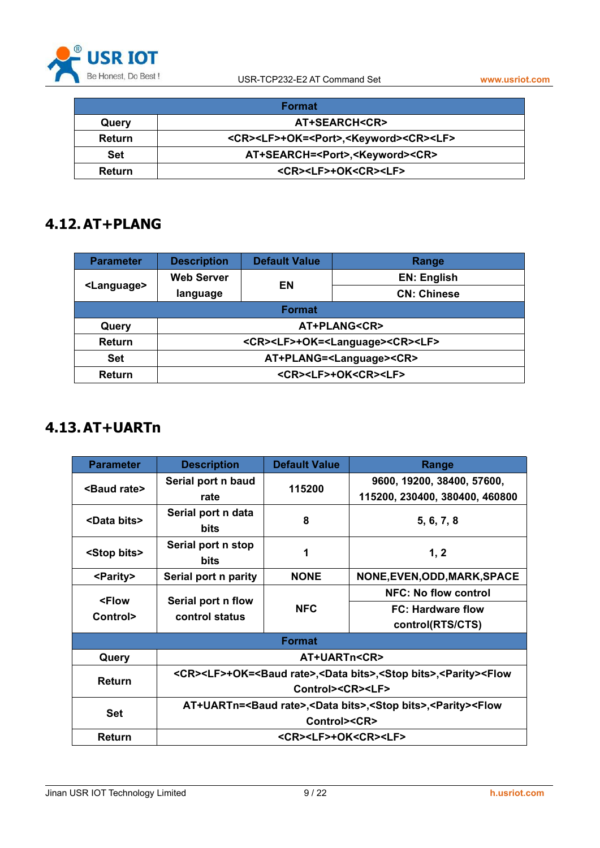

<span id="page-8-0"></span>

|        | <b>Format</b>                                                             |
|--------|---------------------------------------------------------------------------|
| Query  | <b>AT+SEARCH<cr></cr></b>                                                 |
| Return | <cr><lf>+OK=<port>,<keyword><cr><lf></lf></cr></keyword></port></lf></cr> |
| Set    | AT+SEARCH= <port>,<keyword><cr></cr></keyword></port>                     |
| Return | <cr><lf>+OK<cr><lf></lf></cr></lf></cr>                                   |

#### **4.12.AT+PLANG**

| <b>Parameter</b>      | <b>Description</b>                                            | <b>Default Value</b> | Range                                   |
|-----------------------|---------------------------------------------------------------|----------------------|-----------------------------------------|
|                       | <b>Web Server</b>                                             | EN                   | <b>EN: English</b>                      |
| <language></language> | language                                                      |                      | <b>CN: Chinese</b>                      |
| <b>Format</b>         |                                                               |                      |                                         |
| Query                 | AT+PLANG <cr></cr>                                            |                      |                                         |
| <b>Return</b>         | <cr><lf>+OK=<language><cr><lf></lf></cr></language></lf></cr> |                      |                                         |
| <b>Set</b>            | AT+PLANG= <language><cr></cr></language>                      |                      |                                         |
| Return                |                                                               |                      | <cr><lf>+OK<cr><lf></lf></cr></lf></cr> |

# **4.13.AT+UARTn**

| <b>Parameter</b>               | <b>Description</b>                                                                                                                                        | <b>Default Value</b>                                                                                                                 | Range                                                        |  |
|--------------------------------|-----------------------------------------------------------------------------------------------------------------------------------------------------------|--------------------------------------------------------------------------------------------------------------------------------------|--------------------------------------------------------------|--|
| <baud rate=""></baud>          | Serial port n baud<br>rate                                                                                                                                | 115200                                                                                                                               | 9600, 19200, 38400, 57600,<br>115200, 230400, 380400, 460800 |  |
| <data bits=""></data>          | Serial port n data<br><b>bits</b>                                                                                                                         | 8                                                                                                                                    | 5, 6, 7, 8                                                   |  |
| <stop bits=""></stop>          | Serial port n stop<br>bits                                                                                                                                | 1                                                                                                                                    | 1, 2                                                         |  |
| <parity></parity>              | Serial port n parity                                                                                                                                      | <b>NONE</b>                                                                                                                          | NONE, EVEN, ODD, MARK, SPACE                                 |  |
|                                |                                                                                                                                                           |                                                                                                                                      | <b>NFC: No flow control</b>                                  |  |
| <flow<br>Control&gt;</flow<br> | Serial port n flow<br><b>NFC</b><br>control status                                                                                                        |                                                                                                                                      | <b>FC: Hardware flow</b><br>control(RTS/CTS)                 |  |
|                                |                                                                                                                                                           | <b>Format</b>                                                                                                                        |                                                              |  |
| Query                          |                                                                                                                                                           | AT+UARTn <cr></cr>                                                                                                                   |                                                              |  |
| Return                         | <cr><lf>+OK=<baud rate="">,<data bits="">,<stop bits="">,<parity><flow<br>Control&gt;<cr><lf></lf></cr></flow<br></parity></stop></data></baud></lf></cr> |                                                                                                                                      |                                                              |  |
| <b>Set</b>                     |                                                                                                                                                           | AT+UARTn= <baud rate="">,<data bits="">,<stop bits="">,<parity><flow<br>Control&gt;<cr></cr></flow<br></parity></stop></data></baud> |                                                              |  |
| Return                         |                                                                                                                                                           | <cr><lf>+OK<cr><lf></lf></cr></lf></cr>                                                                                              |                                                              |  |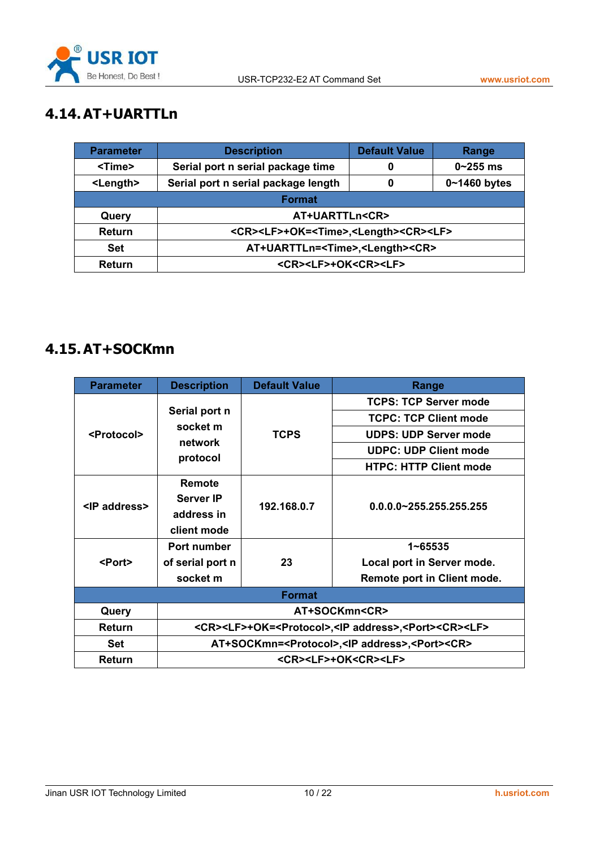

# <span id="page-9-0"></span>**4.14.AT+UARTTLn**

| <b>Parameter</b>  | <b>Description</b>                                                      | <b>Default Value</b> | Range          |  |
|-------------------|-------------------------------------------------------------------------|----------------------|----------------|--|
| <time></time>     | Serial port n serial package time                                       |                      | $0 - 255$ ms   |  |
| <length></length> | Serial port n serial package length                                     |                      | $0~1460$ bytes |  |
|                   | <b>Format</b>                                                           |                      |                |  |
| Query             | AT+UARTTLn <cr></cr>                                                    |                      |                |  |
| <b>Return</b>     | <cr><lf>+OK=<time>,<length><cr><lf></lf></cr></length></time></lf></cr> |                      |                |  |
| <b>Set</b>        | AT+UARTTLn= <time>,<length><cr></cr></length></time>                    |                      |                |  |
| Return            | <cr><lf>+OK<cr><lf></lf></cr></lf></cr>                                 |                      |                |  |

### **4.15.AT+SOCKmn**

| <b>Parameter</b>      | <b>Description</b>                                                                               | <b>Default Value</b> | Range                                   |  |
|-----------------------|--------------------------------------------------------------------------------------------------|----------------------|-----------------------------------------|--|
|                       |                                                                                                  |                      | <b>TCPS: TCP Server mode</b>            |  |
|                       | Serial port n                                                                                    |                      | <b>TCPC: TCP Client mode</b>            |  |
| <protocol></protocol> | socket m<br>network                                                                              | <b>TCPS</b>          | <b>UDPS: UDP Server mode</b>            |  |
|                       | protocol                                                                                         |                      | <b>UDPC: UDP Client mode</b>            |  |
|                       |                                                                                                  |                      | <b>HTPC: HTTP Client mode</b>           |  |
| <ip address=""></ip>  | Remote<br><b>Server IP</b><br>address in                                                         | 192.168.0.7          | $0.0.0.0 - 255.255.255.255$             |  |
|                       | client mode                                                                                      |                      |                                         |  |
|                       | Port number                                                                                      |                      | $1 - 65535$                             |  |
| <port></port>         | of serial port n                                                                                 | 23                   | Local port in Server mode.              |  |
|                       | socket m                                                                                         |                      | Remote port in Client mode.             |  |
|                       |                                                                                                  | <b>Format</b>        |                                         |  |
| Query                 |                                                                                                  |                      | AT+SOCKmn <cr></cr>                     |  |
| Return                | <cr><lf>+OK=<protocol>,<ip address="">,<port><cr><lf></lf></cr></port></ip></protocol></lf></cr> |                      |                                         |  |
| <b>Set</b>            | AT+SOCKmn= <protocol>,<ip address="">,<port><cr></cr></port></ip></protocol>                     |                      |                                         |  |
| Return                |                                                                                                  |                      | <cr><lf>+OK<cr><lf></lf></cr></lf></cr> |  |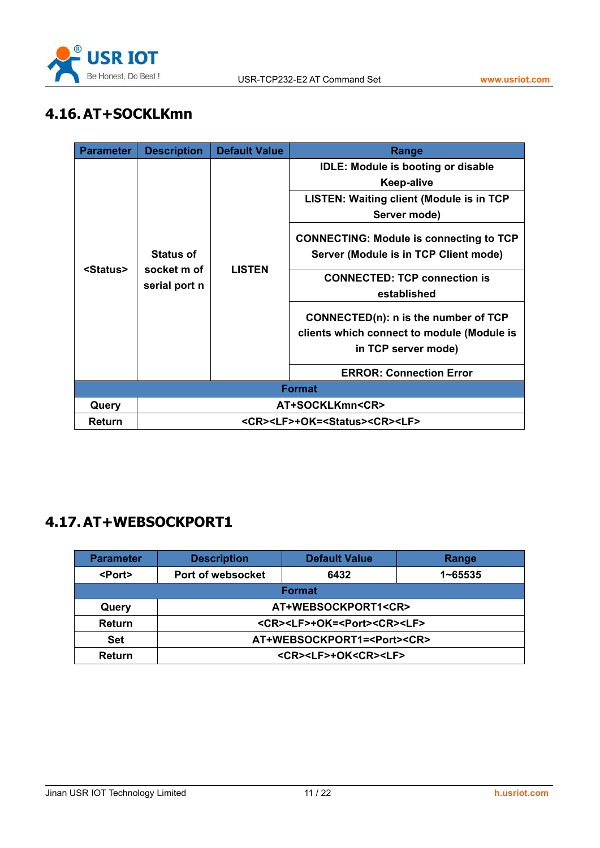

# <span id="page-10-0"></span>**4.16.AT+SOCKLKmn**

| <b>Parameter</b>  | <b>Description</b>                                        | <b>Default Value</b> | Range                                          |  |
|-------------------|-----------------------------------------------------------|----------------------|------------------------------------------------|--|
|                   |                                                           |                      | <b>IDLE: Module is booting or disable</b>      |  |
|                   |                                                           |                      | <b>Keep-alive</b>                              |  |
|                   |                                                           |                      | LISTEN: Waiting client (Module is in TCP       |  |
|                   |                                                           |                      | Server mode)                                   |  |
|                   |                                                           |                      | <b>CONNECTING: Module is connecting to TCP</b> |  |
|                   | <b>Status of</b>                                          |                      | Server (Module is in TCP Client mode)          |  |
| <status></status> | socket m of                                               | <b>LISTEN</b>        | <b>CONNECTED: TCP connection is</b>            |  |
|                   | serial port n                                             |                      | established                                    |  |
|                   |                                                           |                      | CONNECTED(n): n is the number of TCP           |  |
|                   |                                                           |                      | clients which connect to module (Module is     |  |
|                   |                                                           |                      | in TCP server mode)                            |  |
|                   |                                                           |                      | <b>ERROR: Connection Error</b>                 |  |
|                   |                                                           |                      | <b>Format</b>                                  |  |
| Query             |                                                           |                      | AT+SOCKLKmn <cr></cr>                          |  |
| Return            | <cr><lf>+OK=<status><cr><lf></lf></cr></status></lf></cr> |                      |                                                |  |

#### **4.17.AT+WEBSOCKPORT1**

| <b>Parameter</b> | <b>Description</b>                                    | <b>Default Value</b>                    | Range       |  |
|------------------|-------------------------------------------------------|-----------------------------------------|-------------|--|
| <port></port>    | Port of websocket                                     | 6432                                    | $1 - 65535$ |  |
|                  |                                                       | <b>Format</b>                           |             |  |
| Query            |                                                       | AT+WEBSOCKPORT1 <cr></cr>               |             |  |
| <b>Return</b>    | <cr><lf>+OK=<port><cr><lf></lf></cr></port></lf></cr> |                                         |             |  |
| <b>Set</b>       | AT+WEBSOCKPORT1= <port><cr></cr></port>               |                                         |             |  |
| Return           |                                                       | <cr><lf>+OK<cr><lf></lf></cr></lf></cr> |             |  |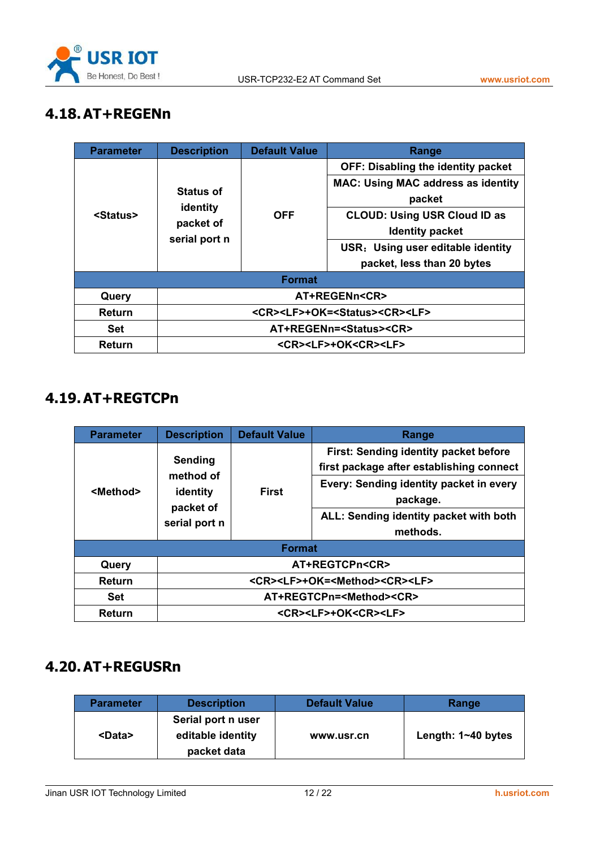

# <span id="page-11-0"></span>**4.18.AT+REGENn**

| <b>Parameter</b>  | <b>Description</b>                                        | <b>Default Value</b> | Range                                     |  |
|-------------------|-----------------------------------------------------------|----------------------|-------------------------------------------|--|
|                   |                                                           |                      | <b>OFF: Disabling the identity packet</b> |  |
|                   |                                                           |                      | <b>MAC: Using MAC address as identity</b> |  |
|                   | <b>Status of</b>                                          |                      | packet                                    |  |
| <status></status> | identity<br>packet of                                     | <b>OFF</b>           | <b>CLOUD: Using USR Cloud ID as</b>       |  |
|                   | serial port n                                             |                      | <b>Identity packet</b>                    |  |
|                   |                                                           |                      | USR: Using user editable identity         |  |
|                   |                                                           |                      | packet, less than 20 bytes                |  |
|                   |                                                           | <b>Format</b>        |                                           |  |
| Query             |                                                           | AT+REGENn <cr></cr>  |                                           |  |
| <b>Return</b>     | <cr><lf>+OK=<status><cr><lf></lf></cr></status></lf></cr> |                      |                                           |  |
| <b>Set</b>        | AT+REGENn= <status><cr></cr></status>                     |                      |                                           |  |
| Return            | <cr><lf>+OK<cr><lf></lf></cr></lf></cr>                   |                      |                                           |  |

#### **4.19.AT+REGTCPn**

| <b>Parameter</b>  | <b>Description</b>                                             | <b>Default Value</b>                                      | Range                                                                                                                                                                                          |  |
|-------------------|----------------------------------------------------------------|-----------------------------------------------------------|------------------------------------------------------------------------------------------------------------------------------------------------------------------------------------------------|--|
| <method></method> | Sending<br>method of<br>identity<br>packet of<br>serial port n | <b>First</b>                                              | First: Sending identity packet before<br>first package after establishing connect<br>Every: Sending identity packet in every<br>package.<br>ALL: Sending identity packet with both<br>methods. |  |
|                   |                                                                | <b>Format</b>                                             |                                                                                                                                                                                                |  |
| Query             | AT+REGTCPn <cr></cr>                                           |                                                           |                                                                                                                                                                                                |  |
| <b>Return</b>     |                                                                | <cr><lf>+OK=<method><cr><lf></lf></cr></method></lf></cr> |                                                                                                                                                                                                |  |
| Set               | AT+REGTCPn= <method><cr></cr></method>                         |                                                           |                                                                                                                                                                                                |  |
| Return            | <cr><lf>+OK<cr><lf></lf></cr></lf></cr>                        |                                                           |                                                                                                                                                                                                |  |

#### **4.20.AT+REGUSRn**

| Parameter     | <b>Description</b>                                     | <b>Default Value</b> | Range                  |
|---------------|--------------------------------------------------------|----------------------|------------------------|
| <data></data> | Serial port n user<br>editable identity<br>packet data | www.usr.cn           | Length: $1 - 40$ bytes |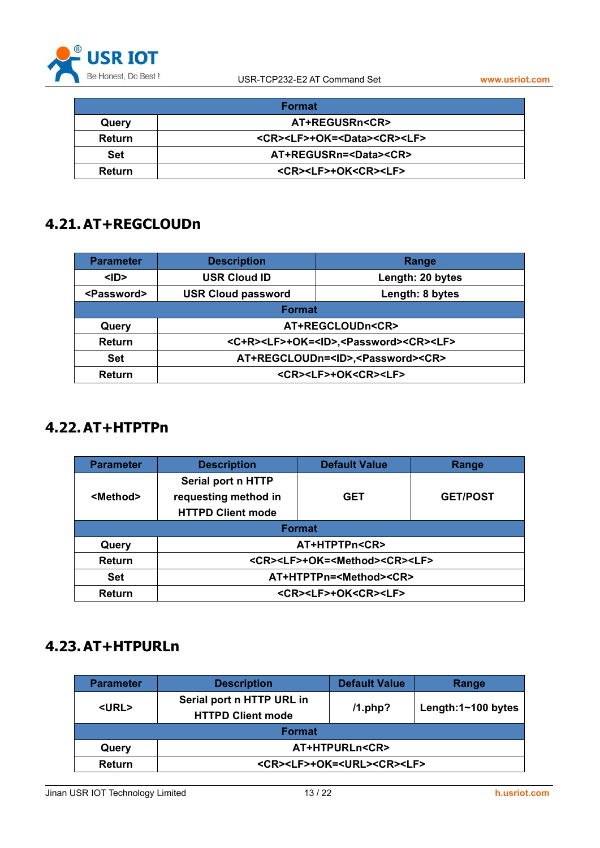

<span id="page-12-0"></span>

|               | Format                                                |
|---------------|-------------------------------------------------------|
| Query         | <b>AT+REGUSRn<cr></cr></b>                            |
| <b>Return</b> | <cr><lf>+OK=<data><cr><lf></lf></cr></data></lf></cr> |
| <b>Set</b>    | AT+REGUSRn= <data><cr></cr></data>                    |
| <b>Return</b> | <cr><lf>+OK<cr><lf></lf></cr></lf></cr>               |

### **4.21.AT+REGCLOUDn**

| <b>Parameter</b>      | <b>Description</b>                      | Range                                                                     |  |
|-----------------------|-----------------------------------------|---------------------------------------------------------------------------|--|
| $<$ ID>               | <b>USR Cloud ID</b>                     | Length: 20 bytes                                                          |  |
| <password></password> | <b>USR Cloud password</b>               | Length: 8 bytes                                                           |  |
|                       | <b>Format</b>                           |                                                                           |  |
| Query                 |                                         | AT+REGCLOUDn <cr></cr>                                                    |  |
| <b>Return</b>         |                                         | <c+r><lf>+OK=<id>,<password><cr><lf></lf></cr></password></id></lf></c+r> |  |
| <b>Set</b>            |                                         | AT+REGCLOUDn= <id>,<password><cr></cr></password></id>                    |  |
| <b>Return</b>         | <cr><lf>+OK<cr><lf></lf></cr></lf></cr> |                                                                           |  |

# **4.22.AT+HTPTPn**

| <b>Parameter</b>  | <b>Description</b>                                                     | <b>Default Value</b> | Range           |  |
|-------------------|------------------------------------------------------------------------|----------------------|-----------------|--|
| <method></method> | Serial port n HTTP<br>requesting method in<br><b>HTTPD Client mode</b> | <b>GET</b>           | <b>GET/POST</b> |  |
| <b>Format</b>     |                                                                        |                      |                 |  |
| Query             | AT+HTPTPn <cr></cr>                                                    |                      |                 |  |
| <b>Return</b>     | <cr><lf>+OK=<method><cr><lf></lf></cr></method></lf></cr>              |                      |                 |  |
| <b>Set</b>        | AT+HTPTPn= <method><cr></cr></method>                                  |                      |                 |  |
| <b>Return</b>     | <cr><lf>+OK<cr><lf></lf></cr></lf></cr>                                |                      |                 |  |

#### **4.23.AT+HTPURLn**

| <b>Parameter</b> | <b>Description</b>                                    | <b>Default Value</b> | Range              |  |
|------------------|-------------------------------------------------------|----------------------|--------------------|--|
| <url></url>      | Serial port n HTTP URL in<br><b>HTTPD Client mode</b> | $/1$ .php?           | Length:1~100 bytes |  |
| <b>Format</b>    |                                                       |                      |                    |  |
| Query            | <b>AT+HTPURLn<cr></cr></b>                            |                      |                    |  |
| Return           | <cr><lf>+OK=<url><cr><lf></lf></cr></url></lf></cr>   |                      |                    |  |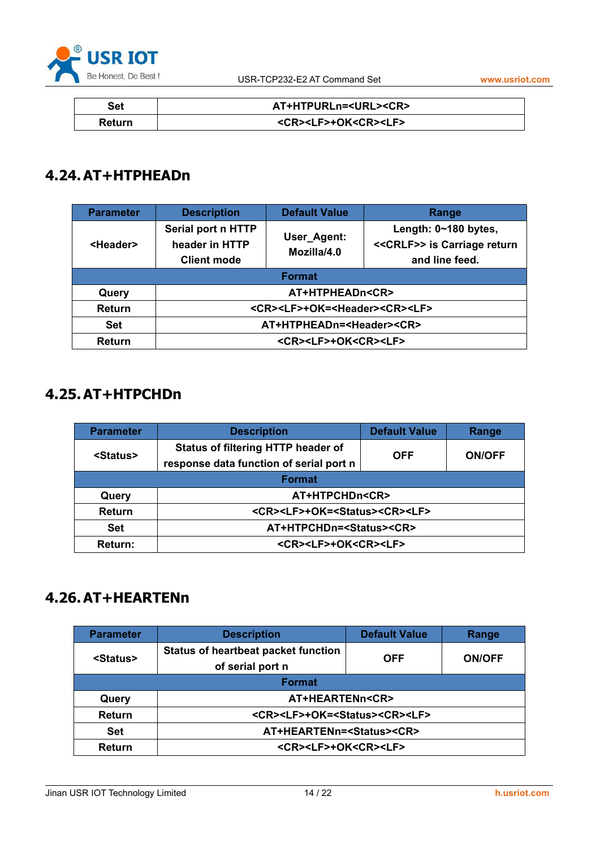

<span id="page-13-0"></span>

| Set           | AT+HTPURLn= <url><cr></cr></url>        |
|---------------|-----------------------------------------|
| <b>Return</b> | <cr><lf>+OK<cr><lf></lf></cr></lf></cr> |

# **4.24.AT+HTPHEADn**

| <b>Parameter</b>  | <b>Description</b>                                         | <b>Default Value</b>       | Range                                                                  |  |  |
|-------------------|------------------------------------------------------------|----------------------------|------------------------------------------------------------------------|--|--|
| <header></header> | Serial port n HTTP<br>header in HTTP<br><b>Client mode</b> | User_Agent:<br>Mozilla/4.0 | Length: 0~180 bytes,<br><< CRLF>> is Carriage return<br>and line feed. |  |  |
|                   | <b>Format</b>                                              |                            |                                                                        |  |  |
| Query             | AT+HTPHEADn <cr></cr>                                      |                            |                                                                        |  |  |
| Return            | <cr><lf>+OK=<header><cr><lf></lf></cr></header></lf></cr>  |                            |                                                                        |  |  |
| <b>Set</b>        | AT+HTPHEADn= <header><cr></cr></header>                    |                            |                                                                        |  |  |
| Return            | <cr><lf>+OK<cr><lf></lf></cr></lf></cr>                    |                            |                                                                        |  |  |

# **4.25.AT+HTPCHDn**

| <b>Parameter</b>  | <b>Description</b>                                        | <b>Default Value</b> | Range         |
|-------------------|-----------------------------------------------------------|----------------------|---------------|
| <status></status> | <b>Status of filtering HTTP header of</b><br><b>OFF</b>   |                      | <b>ON/OFF</b> |
|                   | response data function of serial port n                   |                      |               |
| <b>Format</b>     |                                                           |                      |               |
| Query             | <b>AT+HTPCHDn<cr></cr></b>                                |                      |               |
| <b>Return</b>     | <cr><lf>+OK=<status><cr><lf></lf></cr></status></lf></cr> |                      |               |
| <b>Set</b>        | AT+HTPCHDn= <status><cr></cr></status>                    |                      |               |
| Return:           | <cr><lf>+OK<cr><lf></lf></cr></lf></cr>                   |                      |               |

# **4.26.AT+HEARTENn**

| <b>Parameter</b>  | <b>Description</b>                                        | <b>Default Value</b> | Range         |
|-------------------|-----------------------------------------------------------|----------------------|---------------|
| <status></status> | <b>Status of heartbeat packet function</b>                | <b>OFF</b>           | <b>ON/OFF</b> |
|                   | of serial port n                                          |                      |               |
| <b>Format</b>     |                                                           |                      |               |
| Query             | AT+HEARTENn <cr></cr>                                     |                      |               |
| <b>Return</b>     | <cr><lf>+OK=<status><cr><lf></lf></cr></status></lf></cr> |                      |               |
| <b>Set</b>        | AT+HEARTENn= <status><cr></cr></status>                   |                      |               |
| <b>Return</b>     | <cr><lf>+OK<cr><lf></lf></cr></lf></cr>                   |                      |               |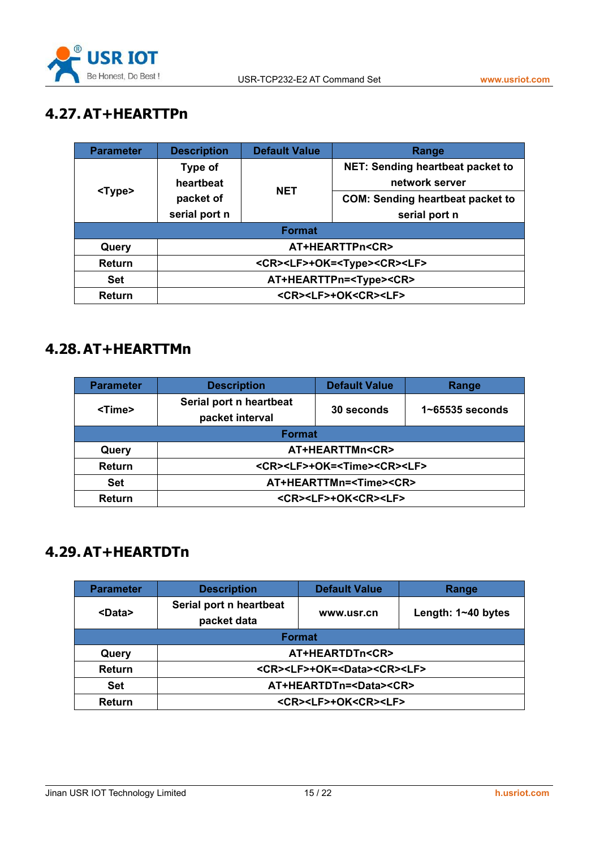

# <span id="page-14-0"></span>**4.27.AT+HEARTTPn**

| <b>Parameter</b> | <b>Description</b>                                    | <b>Default Value</b> | Range                                   |  |
|------------------|-------------------------------------------------------|----------------------|-----------------------------------------|--|
|                  | Type of                                               |                      | NET: Sending heartbeat packet to        |  |
| <type></type>    | heartbeat                                             | <b>NET</b>           | network server                          |  |
|                  | packet of                                             |                      | <b>COM: Sending heartbeat packet to</b> |  |
|                  | serial port n                                         |                      | serial port n                           |  |
| <b>Format</b>    |                                                       |                      |                                         |  |
| Query            | AT+HEARTTPn <cr></cr>                                 |                      |                                         |  |
| Return           | <cr><lf>+OK=<type><cr><lf></lf></cr></type></lf></cr> |                      |                                         |  |
| <b>Set</b>       | AT+HEARTTPn= <type><cr></cr></type>                   |                      |                                         |  |
| Return           | <cr><lf>+OK<cr><lf></lf></cr></lf></cr>               |                      |                                         |  |

### **4.28.AT+HEARTTMn**

| <b>Parameter</b> | <b>Description</b>                                    | <b>Default Value</b> | Range           |
|------------------|-------------------------------------------------------|----------------------|-----------------|
| <time></time>    | Serial port n heartbeat                               | 30 seconds           | 1~65535 seconds |
|                  | packet interval                                       |                      |                 |
| <b>Format</b>    |                                                       |                      |                 |
| Query            | AT+HEARTTMn <cr></cr>                                 |                      |                 |
| <b>Return</b>    | <cr><lf>+OK=<time><cr><lf></lf></cr></time></lf></cr> |                      |                 |
| <b>Set</b>       | AT+HEARTTMn= <time><cr></cr></time>                   |                      |                 |
| Return           | <cr><lf>+OK<cr><lf></lf></cr></lf></cr>               |                      |                 |

# **4.29.AT+HEARTDTn**

| <b>Parameter</b> | <b>Description</b>                                    | <b>Default Value</b>                    | Range |  |
|------------------|-------------------------------------------------------|-----------------------------------------|-------|--|
| <data></data>    | Serial port n heartbeat                               |                                         |       |  |
|                  | packet data                                           | Length: 1~40 bytes<br>www.usr.cn        |       |  |
| <b>Format</b>    |                                                       |                                         |       |  |
| Query            | AT+HEARTDTn <cr></cr>                                 |                                         |       |  |
| <b>Return</b>    | <cr><lf>+OK=<data><cr><lf></lf></cr></data></lf></cr> |                                         |       |  |
| <b>Set</b>       | AT+HEARTDTn= <data><cr></cr></data>                   |                                         |       |  |
| Return           |                                                       | <cr><lf>+OK<cr><lf></lf></cr></lf></cr> |       |  |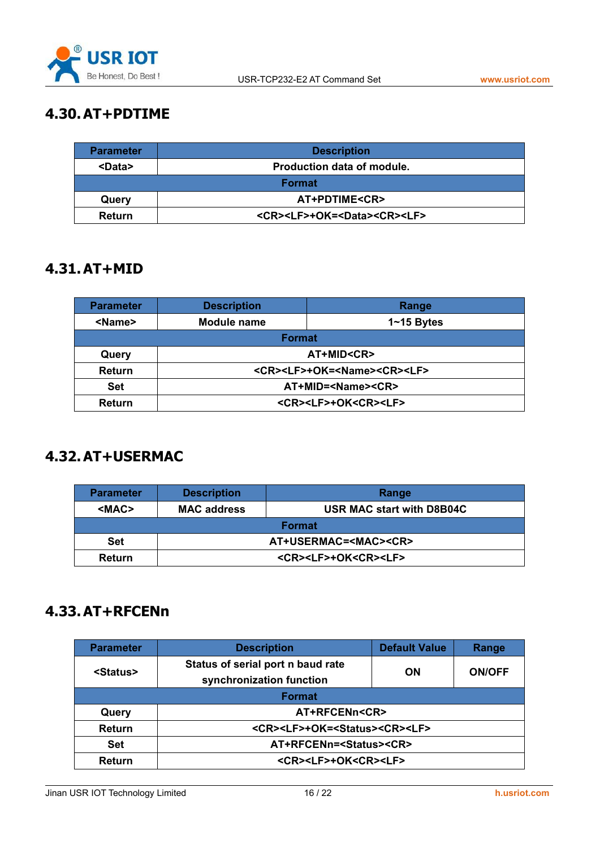

# <span id="page-15-0"></span>**4.30.AT+PDTIME**

| <b>Parameter</b> | <b>Description</b>                                    |
|------------------|-------------------------------------------------------|
| <data></data>    | Production data of module.                            |
|                  | <b>Format</b>                                         |
| Query            | AT+PDTIME <cr></cr>                                   |
| <b>Return</b>    | <cr><lf>+OK=<data><cr><lf></lf></cr></data></lf></cr> |

#### **4.31.AT+MID**

| <b>Parameter</b> | <b>Description</b>             | Range                                                 |
|------------------|--------------------------------|-------------------------------------------------------|
| <name></name>    | Module name                    | $1 - 15$ Bytes                                        |
|                  | <b>Format</b>                  |                                                       |
| Query            |                                | AT+MID <cr></cr>                                      |
| <b>Return</b>    |                                | <cr><lf>+OK=<name><cr><lf></lf></cr></name></lf></cr> |
| <b>Set</b>       | AT+MID= <name><cr></cr></name> |                                                       |
| <b>Return</b>    |                                | <cr><lf>+OK<cr><lf></lf></cr></lf></cr>               |

# **4.32.AT+USERMAC**

| <b>Parameter</b> | <b>Description</b>               | Range                                   |  |
|------------------|----------------------------------|-----------------------------------------|--|
| <mac></mac>      | <b>MAC address</b>               | <b>USR MAC start with D8B04C</b>        |  |
|                  | <b>Format</b>                    |                                         |  |
| <b>Set</b>       | AT+USERMAC= <mac><cr></cr></mac> |                                         |  |
| <b>Return</b>    |                                  | <cr><lf>+OK<cr><lf></lf></cr></lf></cr> |  |

#### **4.33.AT+RFCENn**

| <b>Parameter</b>  | <b>Description</b>                                            | <b>Default Value</b>       | Range |
|-------------------|---------------------------------------------------------------|----------------------------|-------|
| <status></status> | Status of serial port n baud rate<br>synchronization function | <b>ON/OFF</b><br><b>ON</b> |       |
|                   | <b>Format</b>                                                 |                            |       |
| Query             | AT+RFCENn <cr></cr>                                           |                            |       |
| Return            | <cr><lf>+OK=<status><cr><lf></lf></cr></status></lf></cr>     |                            |       |
| <b>Set</b>        | AT+RFCENn= <status><cr></cr></status>                         |                            |       |
| Return            | <cr><lf>+OK<cr><lf></lf></cr></lf></cr>                       |                            |       |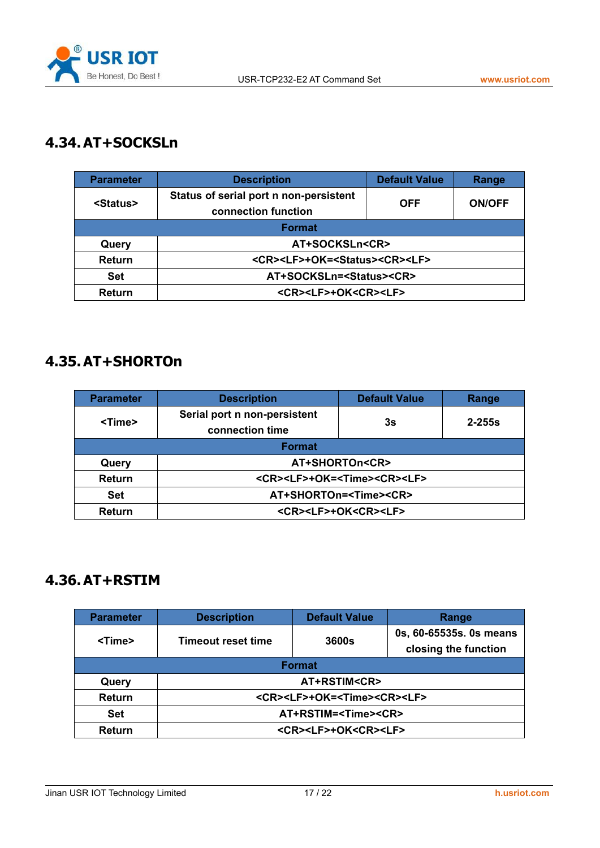

# <span id="page-16-0"></span>**4.34.AT+SOCKSLn**

| <b>Parameter</b>  | <b>Default Value</b><br><b>Description</b>                |                             | Range |
|-------------------|-----------------------------------------------------------|-----------------------------|-------|
| <status></status> | Status of serial port n non-persistent                    |                             |       |
|                   | connection function                                       | <b>OFF</b><br><b>ON/OFF</b> |       |
|                   | <b>Format</b>                                             |                             |       |
| Query             | AT+SOCKSLn <cr></cr>                                      |                             |       |
| <b>Return</b>     | <cr><lf>+OK=<status><cr><lf></lf></cr></status></lf></cr> |                             |       |
| <b>Set</b>        | AT+SOCKSLn= <status><cr></cr></status>                    |                             |       |
| Return            | <cr><lf>+OK<cr><lf></lf></cr></lf></cr>                   |                             |       |

#### **4.35.AT+SHORTOn**

| <b>Parameter</b> | <b>Description</b>                                    | <b>Default Value</b> | Range      |
|------------------|-------------------------------------------------------|----------------------|------------|
| <time></time>    | Serial port n non-persistent<br>connection time       | 3s                   | $2 - 255s$ |
|                  | <b>Format</b>                                         |                      |            |
| Query            | AT+SHORTOn <cr></cr>                                  |                      |            |
| <b>Return</b>    | <cr><lf>+OK=<time><cr><lf></lf></cr></time></lf></cr> |                      |            |
| <b>Set</b>       | AT+SHORTOn= <time><cr></cr></time>                    |                      |            |
| Return           | <cr><lf>+OK<cr><lf></lf></cr></lf></cr>               |                      |            |

### **4.36.AT+RSTIM**

| <b>Parameter</b> | <b>Description</b>                                    | <b>Default Value</b>                    | Range                                           |  |
|------------------|-------------------------------------------------------|-----------------------------------------|-------------------------------------------------|--|
| <time></time>    | Timeout reset time                                    | 3600s                                   | 0s, 60-65535s. 0s means<br>closing the function |  |
|                  | <b>Format</b>                                         |                                         |                                                 |  |
| Query            | AT+RSTIM <cr></cr>                                    |                                         |                                                 |  |
| Return           | <cr><lf>+OK=<time><cr><lf></lf></cr></time></lf></cr> |                                         |                                                 |  |
| <b>Set</b>       | AT+RSTIM= <time><cr></cr></time>                      |                                         |                                                 |  |
| Return           |                                                       | <cr><lf>+OK<cr><lf></lf></cr></lf></cr> |                                                 |  |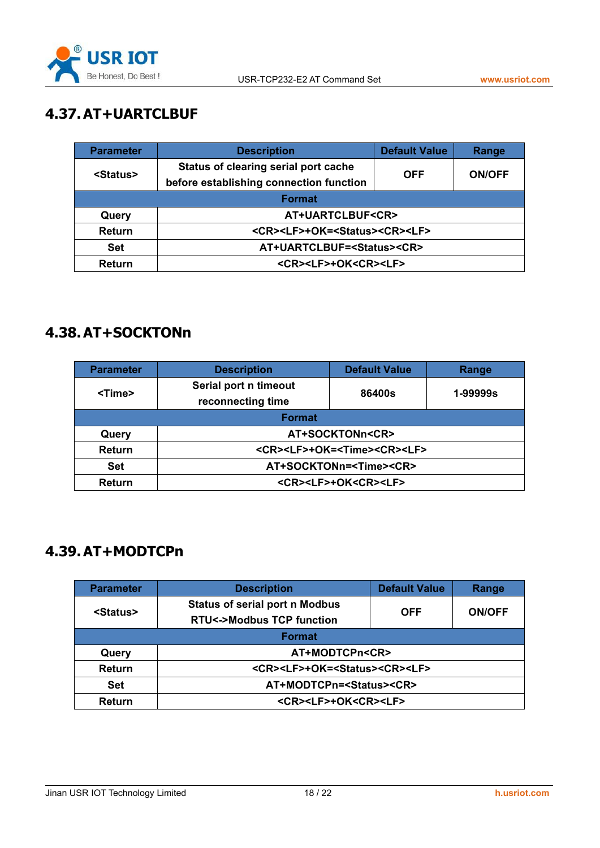

# <span id="page-17-0"></span>**4.37.AT+UARTCLBUF**

| <b>Parameter</b>  | <b>Description</b>                                        | <b>Default Value</b><br>Range |  |
|-------------------|-----------------------------------------------------------|-------------------------------|--|
| <status></status> | Status of clearing serial port cache                      |                               |  |
|                   | before establishing connection function                   | <b>ON/OFF</b><br><b>OFF</b>   |  |
| <b>Format</b>     |                                                           |                               |  |
| Query             | AT+UARTCLBUF <cr></cr>                                    |                               |  |
| <b>Return</b>     | <cr><lf>+OK=<status><cr><lf></lf></cr></status></lf></cr> |                               |  |
| <b>Set</b>        | AT+UARTCLBUF= <status><cr></cr></status>                  |                               |  |
| Return            | <cr><lf>+OK<cr><lf></lf></cr></lf></cr>                   |                               |  |

### **4.38.AT+SOCKTONn**

| <b>Parameter</b> | <b>Description</b>                                    | <b>Default Value</b> | Range    |
|------------------|-------------------------------------------------------|----------------------|----------|
| <time></time>    | Serial port n timeout                                 | 86400s               | 1-99999s |
|                  | reconnecting time                                     |                      |          |
|                  | <b>Format</b>                                         |                      |          |
| Query            | AT+SOCKTONn <cr></cr>                                 |                      |          |
| <b>Return</b>    | <cr><lf>+OK=<time><cr><lf></lf></cr></time></lf></cr> |                      |          |
| <b>Set</b>       | AT+SOCKTONn= <time><cr></cr></time>                   |                      |          |
| Return           | <cr><lf>+OK<cr><lf></lf></cr></lf></cr>               |                      |          |

### **4.39.AT+MODTCPn**

| <b>Parameter</b>  | <b>Description</b>                                        | <b>Default Value</b>        | Range |
|-------------------|-----------------------------------------------------------|-----------------------------|-------|
| <status></status> | <b>Status of serial port n Modbus</b>                     |                             |       |
|                   | <b>RTU&lt;-&gt;Modbus TCP function</b>                    | <b>OFF</b><br><b>ON/OFF</b> |       |
| <b>Format</b>     |                                                           |                             |       |
| Query             | AT+MODTCPn <cr></cr>                                      |                             |       |
| Return            | <cr><lf>+OK=<status><cr><lf></lf></cr></status></lf></cr> |                             |       |
| Set               | AT+MODTCPn= <status><cr></cr></status>                    |                             |       |
| Return            | <cr><lf>+OK<cr><lf></lf></cr></lf></cr>                   |                             |       |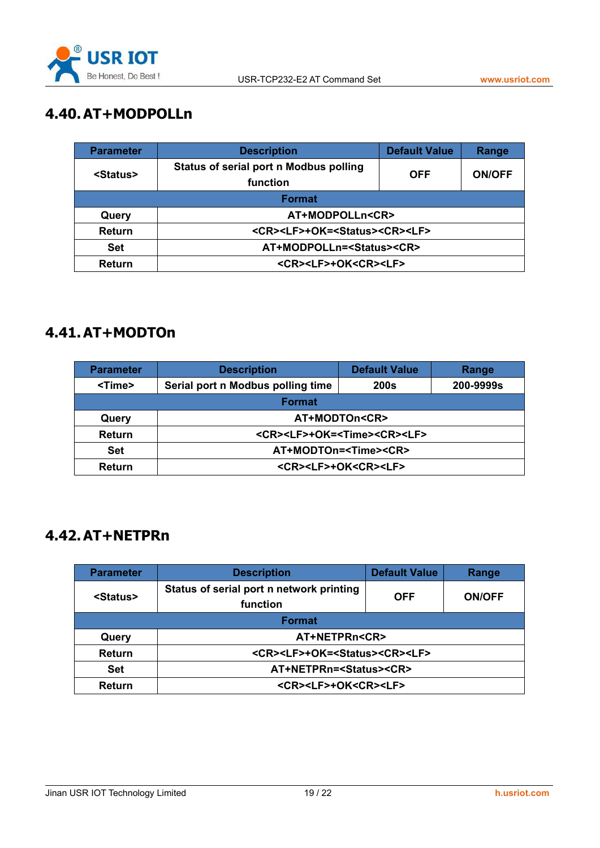

# <span id="page-18-0"></span>**4.40.AT+MODPOLLn**

| <b>Parameter</b>  | <b>Description</b>                                        | <b>Default Value</b><br>Range |  |
|-------------------|-----------------------------------------------------------|-------------------------------|--|
| <status></status> | Status of serial port n Modbus polling<br>function        | <b>ON/OFF</b><br><b>OFF</b>   |  |
| <b>Format</b>     |                                                           |                               |  |
| Query             | AT+MODPOLLn <cr></cr>                                     |                               |  |
| <b>Return</b>     | <cr><lf>+OK=<status><cr><lf></lf></cr></status></lf></cr> |                               |  |
| <b>Set</b>        | AT+MODPOLLn= <status><cr></cr></status>                   |                               |  |
| <b>Return</b>     | <cr><lf>+OK<cr><lf></lf></cr></lf></cr>                   |                               |  |

### **4.41.AT+MODTOn**

| <b>Parameter</b> | <b>Description</b>                                    | <b>Default Value</b> | Range     |
|------------------|-------------------------------------------------------|----------------------|-----------|
| <time></time>    | Serial port n Modbus polling time                     | <b>200s</b>          | 200-9999s |
| <b>Format</b>    |                                                       |                      |           |
| Query            | AT+MODTOn <cr></cr>                                   |                      |           |
| <b>Return</b>    | <cr><lf>+OK=<time><cr><lf></lf></cr></time></lf></cr> |                      |           |
| <b>Set</b>       | AT+MODTOn= <time><cr></cr></time>                     |                      |           |
| <b>Return</b>    | <cr><lf>+OK<cr><lf></lf></cr></lf></cr>               |                      |           |

#### **4.42.AT+NETPRn**

| <b>Parameter</b>  | <b>Description</b>                                        | <b>Default Value</b> | Range         |  |
|-------------------|-----------------------------------------------------------|----------------------|---------------|--|
| <status></status> | Status of serial port n network printing                  | <b>OFF</b>           | <b>ON/OFF</b> |  |
|                   | function                                                  |                      |               |  |
| <b>Format</b>     |                                                           |                      |               |  |
| Query             | AT+NETPRn <cr></cr>                                       |                      |               |  |
| <b>Return</b>     | <cr><lf>+OK=<status><cr><lf></lf></cr></status></lf></cr> |                      |               |  |
| <b>Set</b>        | AT+NETPRn= <status><cr></cr></status>                     |                      |               |  |
| <b>Return</b>     | <cr><lf>+OK<cr><lf></lf></cr></lf></cr>                   |                      |               |  |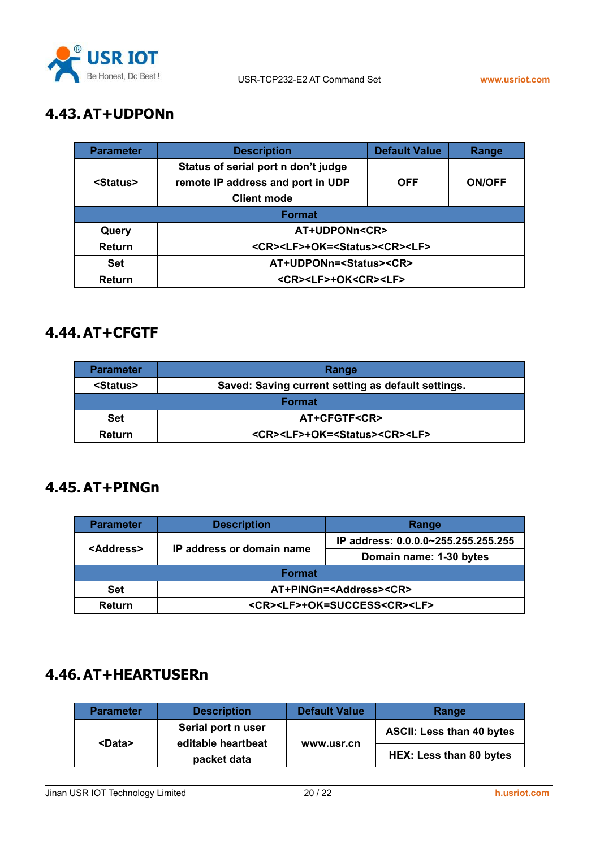

# <span id="page-19-0"></span>**4.43.AT+UDPONn**

| <b>Parameter</b>  | <b>Description</b>                                                                     | <b>Default Value</b> | Range |  |
|-------------------|----------------------------------------------------------------------------------------|----------------------|-------|--|
|                   | Status of serial port n don't judge                                                    |                      |       |  |
| <status></status> | remote IP address and port in UDP<br><b>OFF</b><br><b>ON/OFF</b><br><b>Client mode</b> |                      |       |  |
| <b>Format</b>     |                                                                                        |                      |       |  |
| Query             | <b>AT+UDPONn<cr></cr></b>                                                              |                      |       |  |
| Return            | <cr><lf>+OK=<status><cr><lf></lf></cr></status></lf></cr>                              |                      |       |  |
| <b>Set</b>        | AT+UDPONn= <status><cr></cr></status>                                                  |                      |       |  |
| Return            | <cr><lf>+OK<cr><lf></lf></cr></lf></cr>                                                |                      |       |  |

#### **4.44.AT+CFGTF**

| <b>Parameter</b>  | Range                                                     |
|-------------------|-----------------------------------------------------------|
| <status></status> | Saved: Saving current setting as default settings.        |
|                   | <b>Format</b>                                             |
| <b>Set</b>        | AT+CFGTF <cr></cr>                                        |
| Return            | <cr><lf>+OK=<status><cr><lf></lf></cr></status></lf></cr> |

#### **4.45.AT+PINGn**

| <b>Parameter</b>    | <b>Description</b>                              | Range                               |  |
|---------------------|-------------------------------------------------|-------------------------------------|--|
| <address></address> | IP address or domain name                       | IP address: 0.0.0.0~255.255.255.255 |  |
|                     |                                                 | Domain name: 1-30 bytes             |  |
| <b>Format</b>       |                                                 |                                     |  |
| <b>Set</b>          | AT+PINGn= <address><cr></cr></address>          |                                     |  |
| <b>Return</b>       | <cr><lf>+OK=SUCCESS<cr><lf></lf></cr></lf></cr> |                                     |  |

### **4.46.AT+HEARTUSERn**

| Parameter     | <b>Description</b>                       | <b>Default Value</b> | Range                            |
|---------------|------------------------------------------|----------------------|----------------------------------|
| <data></data> | Serial port n user<br>editable heartbeat |                      | <b>ASCII: Less than 40 bytes</b> |
|               | packet data                              | www.usr.cn           | HEX: Less than 80 bytes          |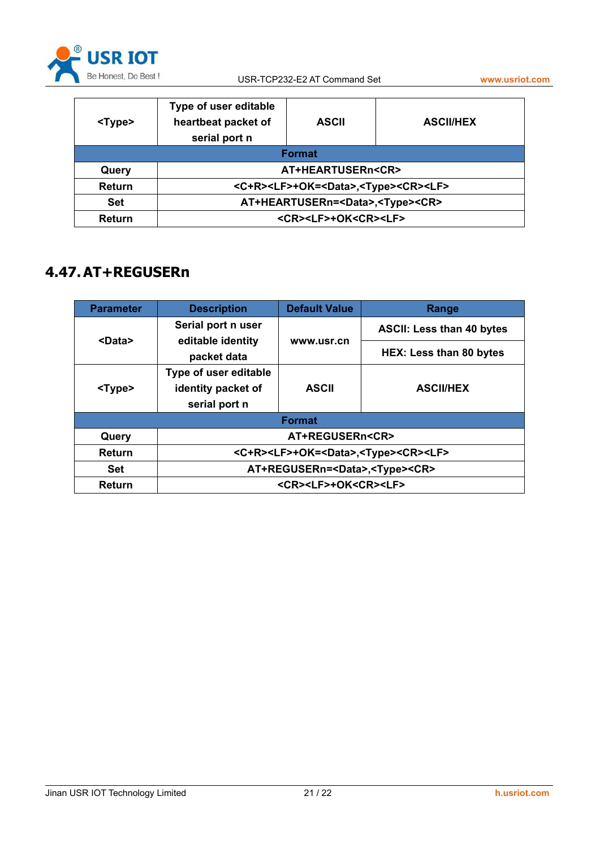

<span id="page-20-0"></span>

| <type></type> | Type of user editable<br>heartbeat packet of<br>serial port n         | <b>ASCII</b> | <b>ASCII/HEX</b> |  |
|---------------|-----------------------------------------------------------------------|--------------|------------------|--|
| <b>Format</b> |                                                                       |              |                  |  |
| Query         | AT+HEARTUSERn <cr></cr>                                               |              |                  |  |
| Return        | <c+r><lf>+OK=<data>,<type><cr><lf></lf></cr></type></data></lf></c+r> |              |                  |  |
| <b>Set</b>    | AT+HEARTUSERn= <data>,<type><cr></cr></type></data>                   |              |                  |  |
| <b>Return</b> | <cr><lf>+OK<cr><lf></lf></cr></lf></cr>                               |              |                  |  |

### **4.47.AT+REGUSERn**

| <b>Parameter</b> | <b>Description</b>                                                    | <b>Default Value</b> | Range                            |
|------------------|-----------------------------------------------------------------------|----------------------|----------------------------------|
|                  | Serial port n user                                                    |                      | <b>ASCII: Less than 40 bytes</b> |
| <data></data>    | editable identity                                                     | www.usr.cn           |                                  |
|                  | packet data                                                           |                      | <b>HEX: Less than 80 bytes</b>   |
| <type></type>    | Type of user editable                                                 |                      |                                  |
|                  | identity packet of                                                    | <b>ASCII</b>         | <b>ASCII/HEX</b>                 |
|                  | serial port n                                                         |                      |                                  |
| <b>Format</b>    |                                                                       |                      |                                  |
| Query            | AT+REGUSERn <cr></cr>                                                 |                      |                                  |
| <b>Return</b>    | <c+r><lf>+OK=<data>,<type><cr><lf></lf></cr></type></data></lf></c+r> |                      |                                  |
| <b>Set</b>       | AT+REGUSERn= <data>,<type><cr></cr></type></data>                     |                      |                                  |
| Return           | <cr><lf>+OK<cr><lf></lf></cr></lf></cr>                               |                      |                                  |